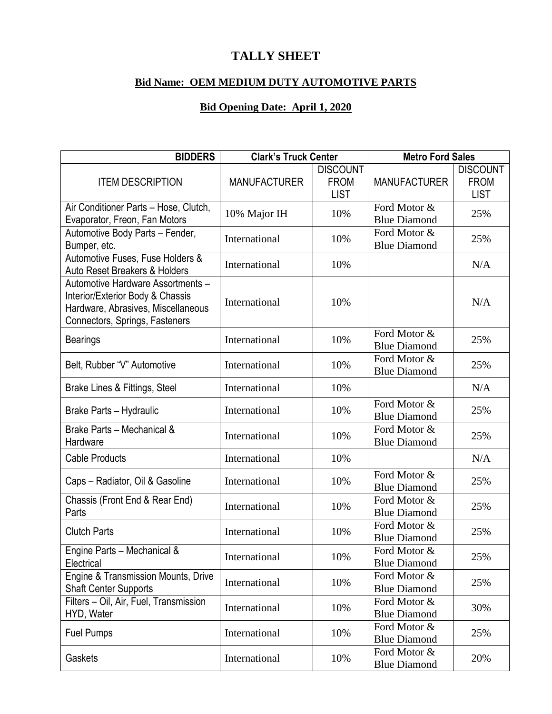## **TALLY SHEET**

## **Bid Name: OEM MEDIUM DUTY AUTOMOTIVE PARTS**

## **Bid Opening Date: April 1, 2020**

| <b>BIDDERS</b>                                                                                                                                | <b>Clark's Truck Center</b> |                                               | <b>Metro Ford Sales</b>             |                            |
|-----------------------------------------------------------------------------------------------------------------------------------------------|-----------------------------|-----------------------------------------------|-------------------------------------|----------------------------|
| <b>ITEM DESCRIPTION</b>                                                                                                                       | <b>MANUFACTURER</b>         | <b>DISCOUNT</b><br><b>FROM</b><br><b>LIST</b> |                                     | <b>DISCOUNT</b>            |
|                                                                                                                                               |                             |                                               | <b>MANUFACTURER</b>                 | <b>FROM</b><br><b>LIST</b> |
| Air Conditioner Parts - Hose, Clutch,                                                                                                         | 10% Major IH                | 10%                                           | Ford Motor &                        | 25%                        |
| Evaporator, Freon, Fan Motors                                                                                                                 |                             |                                               | <b>Blue Diamond</b>                 |                            |
| Automotive Body Parts - Fender,<br>Bumper, etc.                                                                                               | International               | 10%                                           | Ford Motor &<br><b>Blue Diamond</b> | 25%                        |
| Automotive Fuses, Fuse Holders &<br>Auto Reset Breakers & Holders                                                                             | International               | 10%                                           |                                     | N/A                        |
| Automotive Hardware Assortments -<br>Interior/Exterior Body & Chassis<br>Hardware, Abrasives, Miscellaneous<br>Connectors, Springs, Fasteners | International               | 10%                                           |                                     | N/A                        |
| <b>Bearings</b>                                                                                                                               | International               | 10%                                           | Ford Motor &<br><b>Blue Diamond</b> | 25%                        |
| Belt, Rubber "V" Automotive                                                                                                                   | International               | 10%                                           | Ford Motor &<br><b>Blue Diamond</b> | 25%                        |
| Brake Lines & Fittings, Steel                                                                                                                 | International               | 10%                                           |                                     | N/A                        |
| Brake Parts - Hydraulic                                                                                                                       | International               | 10%                                           | Ford Motor &<br><b>Blue Diamond</b> | 25%                        |
| Brake Parts - Mechanical &<br>Hardware                                                                                                        | International               | 10%                                           | Ford Motor &<br><b>Blue Diamond</b> | 25%                        |
| <b>Cable Products</b>                                                                                                                         | International               | 10%                                           |                                     | N/A                        |
| Caps - Radiator, Oil & Gasoline                                                                                                               | International               | 10%                                           | Ford Motor &<br><b>Blue Diamond</b> | 25%                        |
| Chassis (Front End & Rear End)<br>Parts                                                                                                       | International               | 10%                                           | Ford Motor &<br><b>Blue Diamond</b> | 25%                        |
| <b>Clutch Parts</b>                                                                                                                           | International               | 10%                                           | Ford Motor &<br><b>Blue Diamond</b> | 25%                        |
| Engine Parts - Mechanical &<br>Electrical                                                                                                     | International               | 10%                                           | Ford Motor &<br><b>Blue Diamond</b> | 25%                        |
| Engine & Transmission Mounts, Drive<br><b>Shaft Center Supports</b>                                                                           | International               | 10%                                           | Ford Motor &<br><b>Blue Diamond</b> | 25%                        |
| Filters - Oil, Air, Fuel, Transmission<br>HYD, Water                                                                                          | International               | 10%                                           | Ford Motor &<br><b>Blue Diamond</b> | 30%                        |
| <b>Fuel Pumps</b>                                                                                                                             | International               | 10%                                           | Ford Motor &<br><b>Blue Diamond</b> | 25%                        |
| Gaskets                                                                                                                                       | International               | 10%                                           | Ford Motor &<br><b>Blue Diamond</b> | 20%                        |